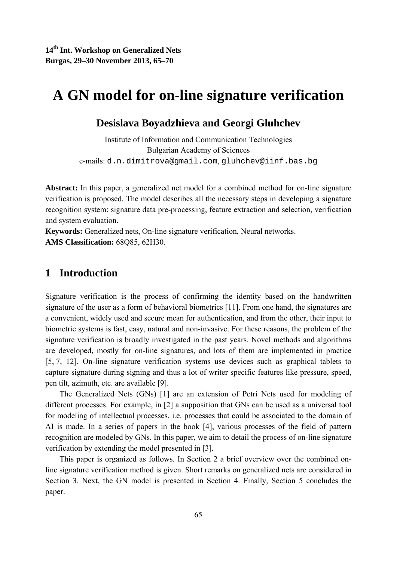# **A GN model for on-line signature verification**

### **Desislava Boyadzhieva and Georgi Gluhchev**

Institute of Information and Communication Technologies Bulgarian Academy of Sciences e-mails: d.n.dimitrova@gmail.com, gluhchev@iinf.bas.bg

**Abstract:** In this paper, a generalized net model for a combined method for on-line signature verification is proposed. The model describes all the necessary steps in developing a signature recognition system: signature data pre-processing, feature extraction and selection, verification and system evaluation.

**Keywords:** Generalized nets, On-line signature verification, Neural networks. **AMS Classification:** 68Q85, 62H30.

# **1 Introduction**

Signature verification is the process of confirming the identity based on the handwritten signature of the user as a form of behavioral biometrics [11]. From one hand, the signatures are a convenient, widely used and secure mean for authentication, and from the other, their input to biometric systems is fast, easy, natural and non-invasive. For these reasons, the problem of the signature verification is broadly investigated in the past years. Novel methods and algorithms are developed, mostly for on-line signatures, and lots of them are implemented in practice [5, 7, 12]. On-line signature verification systems use devices such as graphical tablets to capture signature during signing and thus a lot of writer specific features like pressure, speed, pen tilt, azimuth, etc. are available [9].

The Generalized Nets (GNs) [1] are an extension of Petri Nets used for modeling of different processes. For example, in [2] a supposition that GNs can be used as a universal tool for modeling of intellectual processes, i.e. processes that could be associated to the domain of AI is made. In a series of papers in the book [4], various processes of the field of pattern recognition are modeled by GNs. In this paper, we aim to detail the process of on-line signature verification by extending the model presented in [3].

This paper is organized as follows. In Section 2 a brief overview over the combined online signature verification method is given. Short remarks on generalized nets are considered in Section 3. Next, the GN model is presented in Section 4. Finally, Section 5 concludes the paper.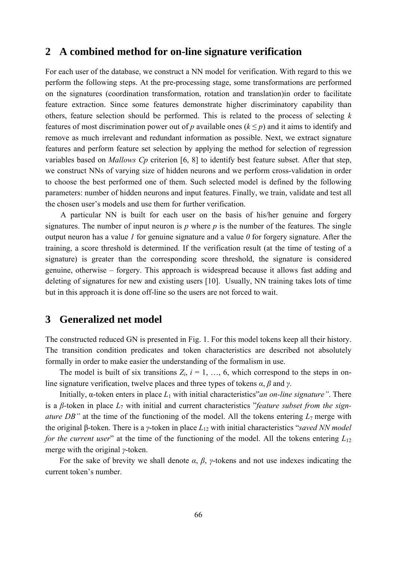#### **2 A combined method for on-line signature verification**

For each user of the database, we construct a NN model for verification. With regard to this we perform the following steps. At the pre-processing stage, some transformations are performed on the signatures (coordination transformation, rotation and translation)in order to facilitate feature extraction. Since some features demonstrate higher discriminatory capability than others, feature selection should be performed. This is related to the process of selecting *k* features of most discrimination power out of *p* available ones  $(k \leq p)$  and it aims to identify and remove as much irrelevant and redundant information as possible. Next, we extract signature features and perform feature set selection by applying the method for selection of regression variables based on *Mallows Cp* criterion [6, 8] to identify best feature subset. After that step, we construct NNs of varying size of hidden neurons and we perform cross-validation in order to choose the best performed one of them. Such selected model is defined by the following parameters: number of hidden neurons and input features. Finally, we train, validate and test all the chosen user's models and use them for further verification.

A particular NN is built for each user on the basis of his/her genuine and forgery signatures. The number of input neuron is  $p$  where  $p$  is the number of the features. The single output neuron has a value *1* for genuine signature and a value *0* for forgery signature. After the training, a score threshold is determined. If the verification result (at the time of testing of a signature) is greater than the corresponding score threshold, the signature is considered genuine, otherwise – forgery. This approach is widespread because it allows fast adding and deleting of signatures for new and existing users [10]. Usually, NN training takes lots of time but in this approach it is done off-line so the users are not forced to wait.

## **3 Generalized net model**

The constructed reduced GN is presented in Fig. 1. For this model tokens keep all their history. The transition condition predicates and token characteristics are described not absolutely formally in order to make easier the understanding of the formalism in use.

The model is built of six transitions  $Z_i$ ,  $i = 1, \ldots, 6$ , which correspond to the steps in online signature verification, twelve places and three types of tokens *α*, *β* and *γ*.

Initially, α-token enters in place *L*1 with initial characteristics"*an on-line signature"*. There is a *β*-token in place *L*7 with initial and current characteristics "*feature subset from the signature DB"* at the time of the functioning of the model. All the tokens entering *L*7 merge with the original β-token. There is a *γ*-token in place *L*12 with initial characteristics "*saved NN model for the current user*" at the time of the functioning of the model. All the tokens entering  $L_{12}$ merge with the original *γ*-token.

For the sake of brevity we shall denote  $\alpha$ ,  $\beta$ ,  $\gamma$ -tokens and not use indexes indicating the current token's number.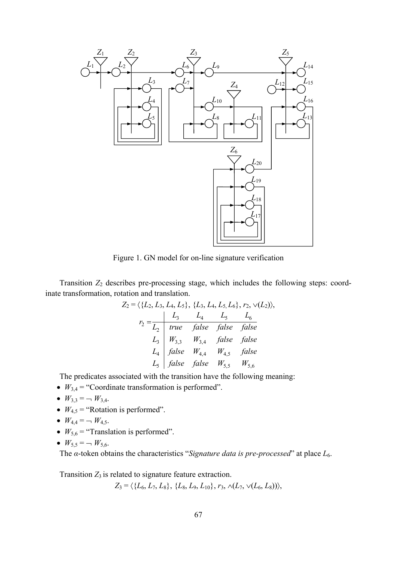

Figure 1. GN model for on-line signature verification

Transition  $Z_2$  describes pre-processing stage, which includes the following steps: coordinate transformation, rotation and translation.

$$
Z_2 = \langle \{L_2, L_3, L_4, L_5\}, \{L_3, L_4, L_5, L_6\}, r_2, \vee (L_2) \rangle,
$$
  
\n
$$
r_2 = \frac{L_3}{L_2} \quad true \quad false \quad false \quad false
$$
  
\n
$$
L_3 \quad W_{3,3} \quad W_{3,4} \quad false \quad false
$$
  
\n
$$
L_4 \quad false \quad W_{4,4} \quad W_{4,5} \quad false
$$
  
\n
$$
L_5 \quad false \quad false \quad W_{5,5} \quad W_{5,6}
$$

The predicates associated with the transition have the following meaning:

- $W_{3,4}$  = "Coordinate transformation is performed".
- $W_{3,3} = -W_{3,4}$ .
- $W_{4,5}$  = "Rotation is performed".
- $W_{4,4} = -W_{4,5}$ .
- $W_{5,6}$  = "Translation is performed".
- $W_{5,5} = -W_{5,6}$ .

The *α*-token obtains the characteristics "*Signature data is pre-processed*" at place *L*6.

Transition  $Z_3$  is related to signature feature extraction.

 $Z_3 = \langle \{L_6, L_7, L_8\}, \{L_8, L_9, L_{10}\}, r_3, \wedge (L_7, \vee (L_6, L_8)) \rangle,$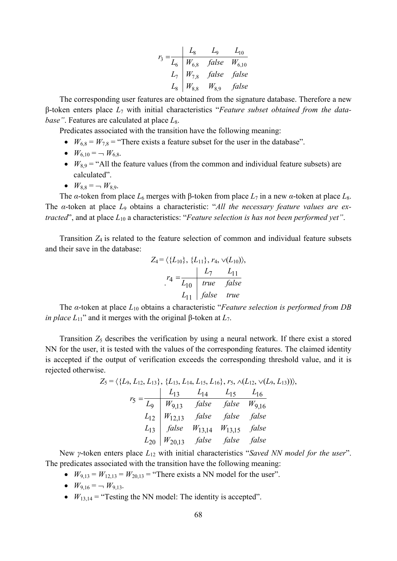$$
r_3 = \frac{L_8}{L_6} = \frac{L_9}{W_{6,8}} = \frac{L_9}{W_{6,10}} = \frac{L_{10}}{L_7} = \frac{W_{7,8}}{W_{7,8}} = \frac{false}{false} = \frac{false}{false}
$$

The corresponding user features are obtained from the signature database. Therefore a new β-token enters place *L*7 with initial characteristics "*Feature subset obtained from the database"*. Features are calculated at place  $L_8$ .

Predicates associated with the transition have the following meaning:

- $W_{6,8} = W_{7,8}$  = "There exists a feature subset for the user in the database".
- $W_{6,10} = -W_{6,8}$ .
- $W_{8.9}$  = "All the feature values (from the common and individual feature subsets) are calculated".
- $W_{8,8} = -W_{8,9}$ .

The *α*-token from place  $L_6$  merges with β-token from place  $L_7$  in a new *α*-token at place  $L_8$ . The *α*-token at place *L*9 obtains a characteristic: "*All the necessary feature values are extracted*", and at place *L*10 a characteristics: "*Feature selection is has not been performed yet"*.

Transition *Z*4 is related to the feature selection of common and individual feature subsets and their save in the database:

$$
Z_4 = \langle \{L_{10}\}, \{L_{11}\}, r_4, \vee (L_{10}) \rangle,
$$
  

$$
r_4 = \frac{L_7}{L_{10}} \quad true \quad false
$$
  

$$
L_{11} \quad false \quad true
$$

The *α*-token at place *L*10 obtains a characteristic "*Feature selection is performed from DB in place*  $L_{11}$ " and it merges with the original β-token at  $L_7$ .

Transition  $Z_5$  describes the verification by using a neural network. If there exist a stored NN for the user, it is tested with the values of the corresponding features. The claimed identity is accepted if the output of verification exceeds the corresponding threshold value, and it is rejected otherwise.

$$
Z_5 = \langle \{L_9, L_{12}, L_{13}\}, \{L_{13}, L_{14}, L_{15}, L_{16}\}, r_5, \land (L_{12}, \lor (L_9, L_{13}))),
$$
  
\n
$$
r_5 = \frac{L_{13}}{L_9} \frac{L_{14}}{W_{9,13}} \frac{L_{14}}{false} \frac{L_{15}}{false} \frac{L_{16}}{W_{9,16}}
$$
  
\n
$$
L_{12} \begin{vmatrix} W_{12,13} & false & false & false \end{vmatrix} = false \text{false}
$$
  
\n
$$
L_{13} \begin{vmatrix} false & W_{13,14} & W_{13,15} & false \end{vmatrix} = false \text{false}
$$
  
\n
$$
L_{20} \begin{vmatrix} W_{20,13} & false & false & false \end{vmatrix} = false \text{false}
$$

New *γ*-token enters place *L*12 with initial characteristics "*Saved NN model for the user*". The predicates associated with the transition have the following meaning:

•  $W_{9,13} = W_{12,13} = W_{20,13} =$  "There exists a NN model for the user".

• 
$$
W_{9,16} = -W_{9,13}
$$
.

•  $W_{13,14}$  = "Testing the NN model: The identity is accepted".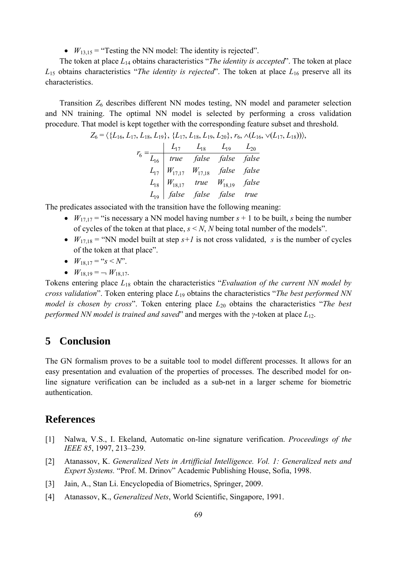•  $W_{13,15}$  = "Testing the NN model: The identity is rejected".

The token at place *L*14 obtains characteristics "*The identity is accepted*". The token at place *L*15 obtains characteristics "*The identity is rejected*". The token at place *L*16 preserve all its characteristics.

Transition *Z*6 describes different NN modes testing, NN model and parameter selection and NN training. The optimal NN model is selected by performing a cross validation procedure. That model is kept together with the corresponding feature subset and threshold.

$$
Z_6 = \langle \{L_{16}, L_{17}, L_{18}, L_{19}\}, \{L_{17}, L_{18}, L_{19}, L_{20}\}, r_6, \wedge (L_{16}, \vee (L_{17}, L_{18})) \rangle,
$$

*L false false false true L W true W false L W W false false L true false false false L L L L r* 19 18 18,17 18,19 17 17,17 17,18 16 17 18 19 20 <sup>6</sup> =

The predicates associated with the transition have the following meaning:

- $W_{17,17}$  = "is necessary a NN model having number  $s + 1$  to be built, *s* being the number of cycles of the token at that place,  $s < N$ , *N* being total number of the models".
- $W_{17,18}$  = "NN model built at step  $s+1$  is not cross validated, *s* is the number of cycles of the token at that place".
- $W_{18,17} = "s < N"$ .
- $W_{18,19} = -W_{18,17}$ .

Tokens entering place *L*18 obtain the characteristics "*Evaluation of the current NN model by cross validation*". Token entering place *L*19 obtains the characteristics "*The best performed NN model is chosen by cross*". Token entering place  $L_{20}$  obtains the characteristics "*The best performed NN model is trained and saved*" and merges with the *γ*-token at place *L*12.

#### **5 Conclusion**

The GN formalism proves to be a suitable tool to model different processes. It allows for an easy presentation and evaluation of the properties of processes. The described model for online signature verification can be included as a sub-net in a larger scheme for biometric authentication.

#### **References**

- [1] Nalwa, V.S., I. Ekeland, Automatic on-line signature verification. *Proceedings of the IEEE 85*, 1997, 213–239.
- [2] Atanassov, K. *Generalized Nets in Artifficial Intelligence. Vol. 1: Generalized nets and Expert Systems.* "Prof. M. Drinov" Academic Publishing House, Sofia, 1998.
- [3] Jain, A., Stan Li. Encyclopedia of Biometrics, Springer, 2009.
- [4] Atanassov, K., *Generalized Nets*, World Scientific, Singapore, 1991.